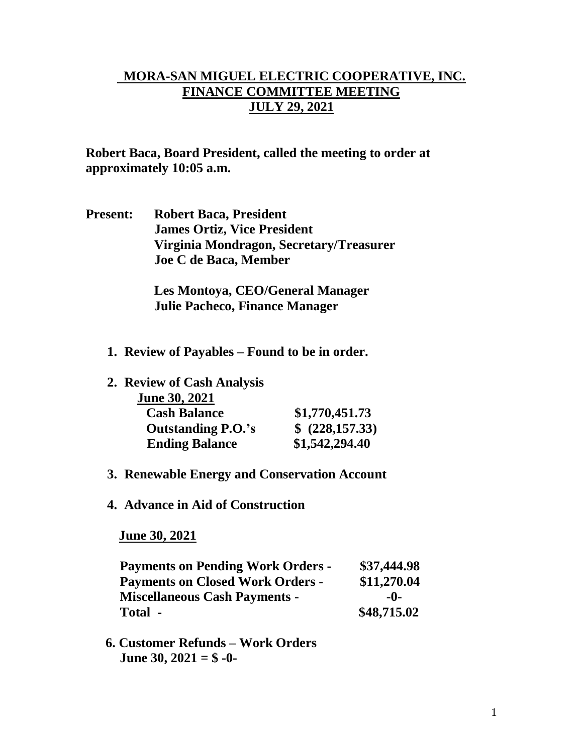## **MORA-SAN MIGUEL ELECTRIC COOPERATIVE, INC. FINANCE COMMITTEE MEETING JULY 29, 2021**

**Robert Baca, Board President, called the meeting to order at approximately 10:05 a.m.**

**Present: Robert Baca, President James Ortiz, Vice President Virginia Mondragon, Secretary/Treasurer Joe C de Baca, Member**

> **Les Montoya, CEO/General Manager Julie Pacheco, Finance Manager**

- **1. Review of Payables – Found to be in order.**
- **2. Review of Cash Analysis June 30, 2021 Cash Balance \$1,770,451.73 Outstanding P.O.'s \$ (228,157.33) Ending Balance \$1,542,294.40**
- **3. Renewable Energy and Conservation Account**
- **4. Advance in Aid of Construction**

 **June 30, 2021**

| <b>Payments on Pending Work Orders -</b> | \$37,444.98 |
|------------------------------------------|-------------|
| <b>Payments on Closed Work Orders -</b>  | \$11,270.04 |
| <b>Miscellaneous Cash Payments -</b>     | -0-         |
| Total -                                  | \$48,715.02 |

 **6. Customer Refunds – Work Orders June 30, 2021 = \$ -0-**